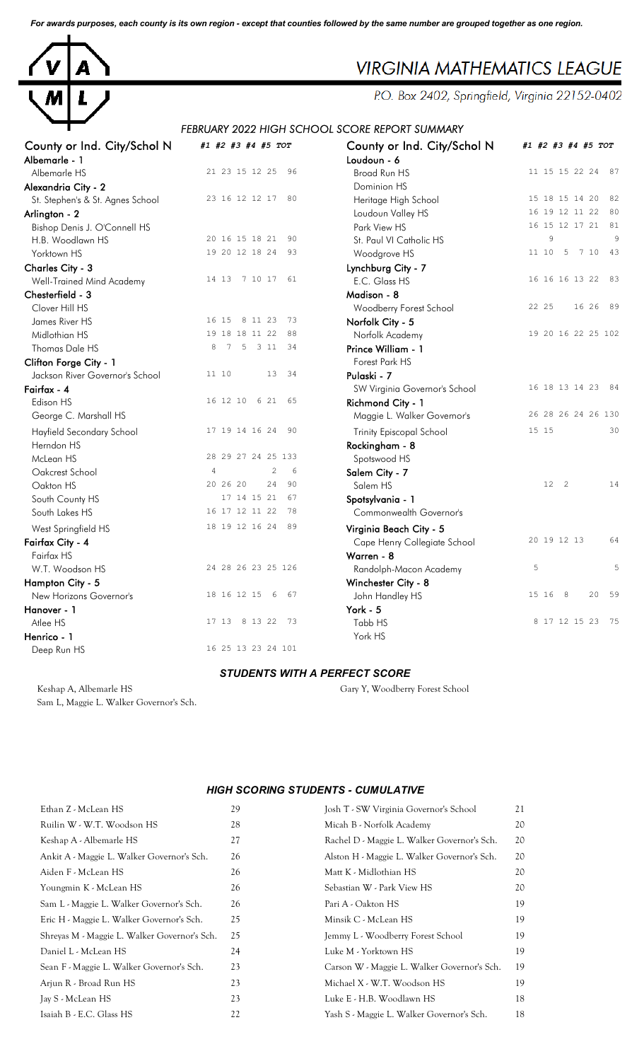*For awards purposes, each county is its own region - except that counties followed by the same number are grouped together as one region.*



# **VIRGINIA MATHEMATICS LEAGUE**

P.O. Box 2402, Springfield, Virginia 22152-0402

## *FEBRUARY 2022 HIGH SCHOOL SCORE REPORT SUMMARY*

| County or Ind. City/Schol N      | #1 #2 #3 #4 #5 TOT                       | County or Ind. City/Schol N     | #1 #2 #3 #4 #5 TOT       |
|----------------------------------|------------------------------------------|---------------------------------|--------------------------|
| Albemarle - 1                    |                                          | Loudoun - 6                     |                          |
| Albemarle HS                     | 21 23 15 12 25<br>96                     | <b>Broad Run HS</b>             | 11 15 15 22 24 87        |
| Alexandria City - 2              |                                          | Dominion HS                     |                          |
| St. Stephen's & St. Agnes School | 23 16 12 12 17 80                        | Heritage High School            | 15 18 15 14 20<br>82     |
| Arlington - 2                    |                                          | Loudoun Valley HS               | 16 19 12 11 22<br>80     |
| Bishop Denis J. O'Connell HS     |                                          | Park View HS                    | 16 15 12 17 21 81        |
| H.B. Woodlawn HS                 | 20 16 15 18 21<br>90                     | St. Paul VI Catholic HS         | 9<br>9                   |
| Yorktown HS                      | 19 20 12 18 24<br>93                     | Woodgrove HS                    | 5<br>7 10<br>43<br>11 10 |
| Charles City - 3                 |                                          | Lynchburg City - 7              |                          |
| Well-Trained Mind Academy        | 14 13 7 10 17<br>61                      | E.C. Glass HS                   | 83<br>16 16 16 13 22     |
| Chesterfield - 3                 |                                          | Madison - 8                     |                          |
| Clover Hill HS                   |                                          | Woodberry Forest School         | 22 25<br>16 26 89        |
| James River HS                   | 16 15 8 11 23<br>73                      | Norfolk City - 5                |                          |
| Midlothian HS                    | 19 18 18 11 22<br>88                     | Norfolk Academy                 | 19 20 16 22 25 102       |
| Thomas Dale HS                   | $7\phantom{.0}$<br>5<br>3 1 1<br>34<br>8 | Prince William - 1              |                          |
| Clifton Forge City - 1           |                                          | Forest Park HS                  |                          |
| Jackson River Governor's School  | 11 10<br>13<br>34                        | Pulaski - 7                     |                          |
| Fairfax - 4                      |                                          | SW Virginia Governor's School   | 16 18 13 14 23 84        |
| Edison HS                        | 16 12 10 6 21<br>65                      | Richmond City - 1               |                          |
| George C. Marshall HS            |                                          | Maggie L. Walker Governor's     | 26 28 26 24 26 130       |
| Hayfield Secondary School        | 17 19 14 16 24<br>90                     | <b>Trinity Episcopal School</b> | 30<br>15 15              |
| Herndon HS                       |                                          | Rockingham - 8                  |                          |
| McLean HS                        | 28 29 27 24 25 133                       | Spotswood HS                    |                          |
| Oakcrest School                  | $\overline{c}$<br>$\overline{4}$<br>6    | Salem City - 7                  |                          |
| Oakton HS                        | 20 26 20<br>24<br>90                     | Salem HS                        | 12 2<br>14               |
| South County HS                  | 17 14 15 21<br>67                        | Spotsylvania - 1                |                          |
| South Lakes HS                   | 16 17 12 11 22<br>78                     | Commonwealth Governor's         |                          |
| West Springfield HS              | 18 19 12 16 24<br>89                     | Virginia Beach City - 5         |                          |
| Fairfax City - 4                 |                                          | Cape Henry Collegiate School    | 20 19 12 13<br>64        |
| Fairfax HS                       |                                          | Warren - 8                      |                          |
| W.T. Woodson HS                  | 24 28 26 23 25 126                       | Randolph-Macon Academy          | 5<br>5                   |
| Hampton City - 5                 |                                          | Winchester City - 8             |                          |
| New Horizons Governor's          | 18 16 12 15<br>6<br>67                   | John Handley HS                 | 59<br>8<br>20<br>15 16   |
| Hanover - 1                      |                                          | York - 5                        |                          |
| Atlee HS                         | 17 13<br>8 13 22<br>73                   | Tabb HS                         | 8 17 12 15 23<br>75      |
| Henrico - 1                      |                                          | York HS                         |                          |
| Deep Run HS                      | 16 25 13 23 24 101                       |                                 |                          |

| County or Ind. City/Schol N     | #1 #2 #3 #4 #5 TOT |       |                |          |       |                    |
|---------------------------------|--------------------|-------|----------------|----------|-------|--------------------|
| Loudoun - 6                     |                    |       |                |          |       |                    |
| Broad Run HS                    |                    |       | 11 15 15 22 24 |          |       | 87                 |
| Dominion HS                     |                    |       |                |          |       |                    |
| Heritage High School            | 15                 | 18    | 15             | 14       | 20    | 82                 |
| Loudoun Valley HS               | 16                 | 19    | 12             | 11       | 22    | 80                 |
| Park View HS                    | 16                 | 15    |                | 12 17 21 |       | 81                 |
| St. Paul VI Catholic HS         |                    | 9     |                |          |       | 9                  |
| Woodgrove HS                    | 11                 | 10    | 5              | 7        | 10    | 43                 |
| Lynchburg City - 7              |                    |       |                |          |       |                    |
| E.C. Glass HS                   | 16                 |       | 16 16 13 22    |          |       | 83                 |
| Madison - 8                     |                    |       |                |          |       |                    |
| Woodberry Forest School         |                    | 22 25 |                |          | 16 26 | 89                 |
| Norfolk City - 5                |                    |       |                |          |       |                    |
| Norfolk Academy                 |                    |       |                |          |       | 19 20 16 22 25 102 |
| Prince William - 1              |                    |       |                |          |       |                    |
| <b>Forest Park HS</b>           |                    |       |                |          |       |                    |
| Pulaski - 7                     |                    |       |                |          |       |                    |
| SW Virginia Governor's School   |                    |       | 16 18 13 14 23 |          |       | 84                 |
| Richmond City - 1               |                    |       |                |          |       |                    |
| Maggie L. Walker Governor's     |                    |       |                |          |       | 26 28 26 24 26 130 |
| <b>Trinity Episcopal School</b> |                    | 15 15 |                |          |       | 30                 |
| Rockingham - 8                  |                    |       |                |          |       |                    |
| Spotswood HS                    |                    |       |                |          |       |                    |
| Salem City - 7                  |                    |       |                |          |       |                    |
| Salem HS                        |                    | 12    | $\overline{c}$ |          |       | 14                 |
| Spotsylvania - 1                |                    |       |                |          |       |                    |
| Commonwealth Governor's         |                    |       |                |          |       |                    |
| Virginia Beach City - 5         |                    |       |                |          |       |                    |
| Cape Henry Collegiate School    | 20                 |       | 19 12 13       |          |       | 64                 |
| Warren - 8                      |                    |       |                |          |       |                    |
| Randolph-Macon Academy          | 5                  |       |                |          |       | 5                  |
| Winchester City - 8             |                    |       |                |          |       |                    |
| John Handley HS                 | 15                 | 16    | 8              |          | 20    | 59                 |
| York - 5                        |                    |       |                |          |       |                    |
| Tabb HS                         | 8                  | 17    | 12             | 15 23    |       | 75                 |
| York HS                         |                    |       |                |          |       |                    |

### *STUDENTS WITH A PERFECT SCORE*

Keshap A, Albemarle HS Gary Y, Woodberry Forest School

Sam L, Maggie L. Walker Governor's Sch.

#### *HIGH SCORING STUDENTS - CUMULATIVE*

| Ethan Z - McLean HS                          | 29 | Josh T - SW Virginia Governor's School      | 21 |
|----------------------------------------------|----|---------------------------------------------|----|
| Ruilin W - W.T. Woodson HS                   | 28 | Micah B - Norfolk Academy                   | 20 |
| Keshap A - Albemarle HS                      | 27 | Rachel D - Maggie L. Walker Governor's Sch. | 20 |
| Ankit A - Maggie L. Walker Governor's Sch.   | 26 | Alston H - Maggie L. Walker Governor's Sch. | 20 |
| Aiden F - McLean HS                          | 26 | Matt K - Midlothian HS                      | 20 |
| Youngmin K - McLean HS                       | 26 | Sebastian W - Park View HS                  | 20 |
| Sam L - Maggie L. Walker Governor's Sch.     | 26 | Pari A - Oakton HS                          | 19 |
| Eric H - Maggie L. Walker Governor's Sch.    | 25 | Minsik C - McLean HS                        | 19 |
| Shreyas M - Maggie L. Walker Governor's Sch. | 25 | Jemmy L - Woodberry Forest School           | 19 |
| Daniel L - McLean HS                         | 24 | Luke M - Yorktown HS                        | 19 |
| Sean F - Maggie L. Walker Governor's Sch.    | 23 | Carson W - Maggie L. Walker Governor's Sch. | 19 |
| Arjun R - Broad Run HS                       | 23 | Michael X - W.T. Woodson HS                 | 19 |
| Jay S - McLean HS                            | 23 | Luke E - H.B. Woodlawn HS                   | 18 |
| Isaiah B - E.C. Glass HS                     | 22 | Yash S - Maggie L. Walker Governor's Sch.   | 18 |